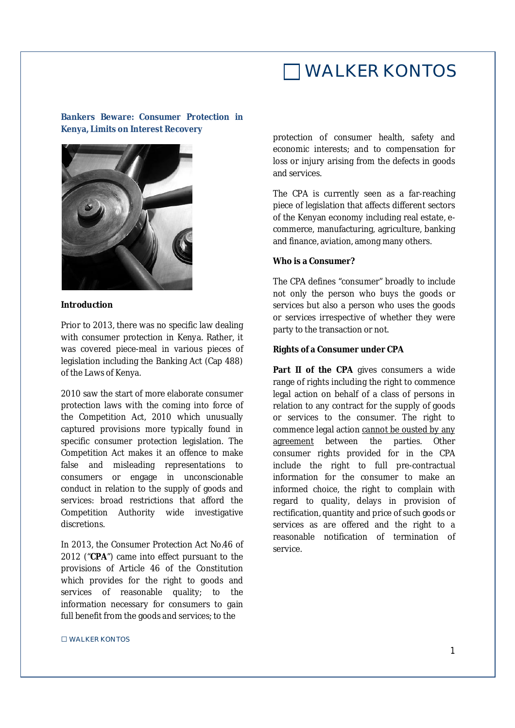# WALKER KONTOS

**Bankers Beware: Consumer Protection in Kenya, Limits on Interest Recovery**



## **Introduction**

Prior to 2013, there was no specific law dealing with consumer protection in Kenya. Rather, it was covered piece-meal in various pieces of legislation including the Banking Act (Cap 488) of the Laws of Kenya.

2010 saw the start of more elaborate consumer protection laws with the coming into force of the Competition Act, 2010 which unusually captured provisions more typically found in specific consumer protection legislation. The Competition Act makes it an offence to make false and misleading representations to consumers or engage in unconscionable conduct in relation to the supply of goods and services: broad restrictions that afford the Competition Authority wide investigative discretions.

In 2013, the Consumer Protection Act No.46 of 2012 ("**CPA**") came into effect pursuant to the provisions of Article 46 of the Constitution which provides for the right to goods and services of reasonable quality; to the information necessary for consumers to gain full benefit from the goods and services; to the

#### □ WALKER KONTOS

protection of consumer health, safety and economic interests; and to compensation for loss or injury arising from the defects in goods and services.

The CPA is currently seen as a far-reaching piece of legislation that affects different sectors of the Kenyan economy including real estate, ecommerce, manufacturing, agriculture, banking and finance, aviation, among many others.

## **Who is a Consumer?**

The CPA defines "consumer" broadly to include not only the person who buys the goods or services but also a person who uses the goods or services irrespective of whether they were party to the transaction or not.

### **Rights of a Consumer under CPA**

Part II of the CPA gives consumers a wide range of rights including the right to commence legal action on behalf of a class of persons in relation to any contract for the supply of goods or services to the consumer. The right to commence legal action cannot be ousted by any agreement between the parties. Other consumer rights provided for in the CPA include the right to full pre-contractual information for the consumer to make an informed choice, the right to complain with regard to quality, delays in provision of rectification, quantity and price of such goods or services as are offered and the right to a reasonable notification of termination of service.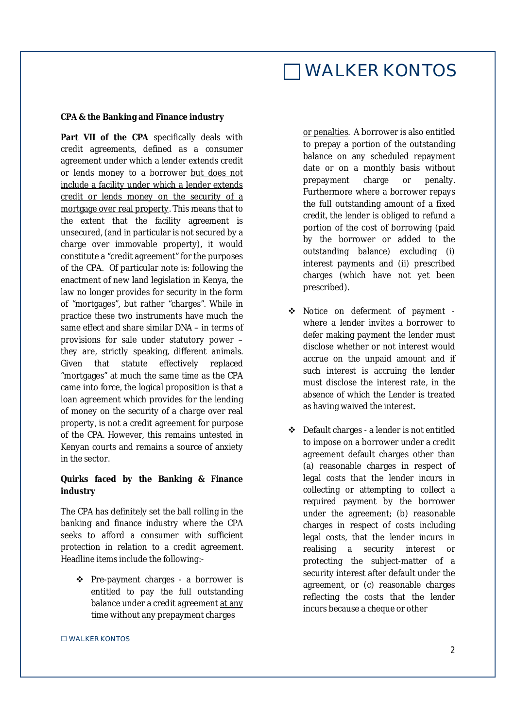# WALKER KONTOS

## **CPA & the Banking and Finance industry**

**Part VII of the CPA** specifically deals with credit agreements, defined as a consumer agreement under which a lender extends credit or lends money to a borrower but does not include a facility under which a lender extends credit or lends money on the security of a mortgage over real property. This means that to the extent that the facility agreement is unsecured, (and in particular is not secured by a charge over immovable property), it would constitute a "credit agreement" for the purposes of the CPA. Of particular note is: following the enactment of new land legislation in Kenya, the law no longer provides for security in the form of "mortgages", but rather "charges". While in practice these two instruments have much the same effect and share similar DNA – in terms of provisions for sale under statutory power – they are, strictly speaking, different animals. Given that statute effectively replaced "mortgages" at much the same time as the CPA came into force, the logical proposition is that a loan agreement which provides for the lending of money on the security of a charge over real property, is not a credit agreement for purpose of the CPA. However, this remains untested in Kenyan courts and remains a source of anxiety in the sector.

# **Quirks faced by the Banking & Finance industry**

The CPA has definitely set the ball rolling in the banking and finance industry where the CPA seeks to afford a consumer with sufficient protection in relation to a credit agreement. Headline items include the following:-

 Pre-payment charges - a borrower is entitled to pay the full outstanding balance under a credit agreement at any time without any prepayment charges

### □ WALKER KONTOS

or penalties. A borrower is also entitled to prepay a portion of the outstanding balance on any scheduled repayment date or on a monthly basis without prepayment charge or penalty. Furthermore where a borrower repays the full outstanding amount of a fixed credit, the lender is obliged to refund a portion of the cost of borrowing (paid by the borrower or added to the outstanding balance) excluding (i) interest payments and (ii) prescribed charges (which have not yet been prescribed).

- Notice on deferment of payment where a lender invites a borrower to defer making payment the lender must disclose whether or not interest would accrue on the unpaid amount and if such interest is accruing the lender must disclose the interest rate, in the absence of which the Lender is treated as having waived the interest.
- Default charges a lender is not entitled to impose on a borrower under a credit agreement default charges other than (a) reasonable charges in respect of legal costs that the lender incurs in collecting or attempting to collect a required payment by the borrower under the agreement; (b) reasonable charges in respect of costs including legal costs, that the lender incurs in realising a security interest or protecting the subject-matter of a security interest after default under the agreement, or (c) reasonable charges reflecting the costs that the lender incurs because a cheque or other